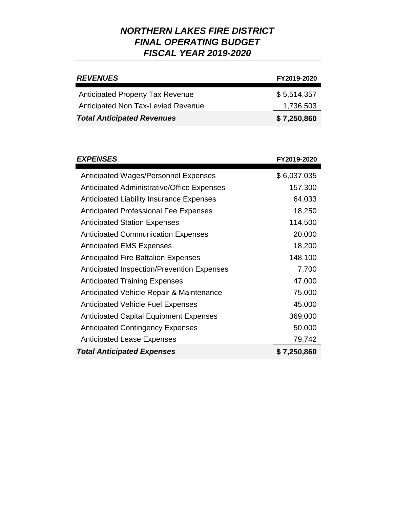| <b>REVENUES</b>                         | FY2019-2020 |
|-----------------------------------------|-------------|
| <b>Anticipated Property Tax Revenue</b> | \$5,514,357 |
| Anticipated Non Tax-Levied Revenue      | 1,736,503   |
| <b>Total Anticipated Revenues</b>       | \$7,250,860 |

| <b>EXPENSES</b>                                 | FY2019-2020 |
|-------------------------------------------------|-------------|
| Anticipated Wages/Personnel Expenses            | \$6,037,035 |
| Anticipated Administrative/Office Expenses      | 157,300     |
| <b>Anticipated Liability Insurance Expenses</b> | 64,033      |
| <b>Anticipated Professional Fee Expenses</b>    | 18,250      |
| <b>Anticipated Station Expenses</b>             | 114,500     |
| <b>Anticipated Communication Expenses</b>       | 20,000      |
| <b>Anticipated EMS Expenses</b>                 | 18,200      |
| <b>Anticipated Fire Battalion Expenses</b>      | 148,100     |
| Anticipated Inspection/Prevention Expenses      | 7,700       |
| <b>Anticipated Training Expenses</b>            | 47,000      |
| Anticipated Vehicle Repair & Maintenance        | 75,000      |
| <b>Anticipated Vehicle Fuel Expenses</b>        | 45,000      |
| <b>Anticipated Capital Equipment Expenses</b>   | 369,000     |
| <b>Anticipated Contingency Expenses</b>         | 50,000      |
| <b>Anticipated Lease Expenses</b>               | 79,742      |
| <b>Total Anticipated Expenses</b>               | \$7,250,860 |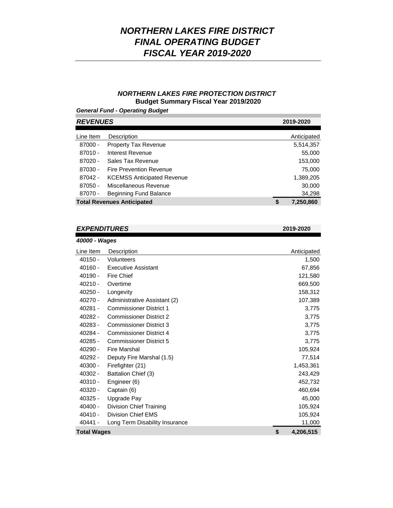### *NORTHERN LAKES FIRE PROTECTION DISTRICT*  **Budget Summary Fiscal Year 2019/2020**

*General Fund - Operating Budget*

| <b>REVENUES</b> |                                   | 2019-2020       |
|-----------------|-----------------------------------|-----------------|
| Line Item       | Description                       | Anticipated     |
| 87000 -         | <b>Property Tax Revenue</b>       | 5,514,357       |
| $87010 -$       | Interest Revenue                  | 55,000          |
| $87020 -$       | Sales Tax Revenue                 | 153,000         |
| 87030 -         | <b>Fire Prevention Revenue</b>    | 75,000          |
| 87042 -         | <b>KCEMSS Anticipated Revenue</b> | 1,389,205       |
| $87050 -$       | Miscellaneous Revenue             | 30,000          |
| 87070 -         | Beginning Fund Balance            | 34,298          |
|                 | <b>Total Revenues Anticipated</b> | \$<br>7,250,860 |

### *EXPENDITURES* **2019-2020**

Line Item Description 1,500 67,856 121,580 669,500 158,312 107,389 3,775 3,775 3,775 3,775 3,775 105,924 77,514 1,453,361 243,429 452,732 460,694 45,000 105,924 105,924 11,000 **Total Wages \$ 4,206,515** 40400 - Division Chief Training 40410 - Division Chief EMS 40441 - Long Term Disability Insurance Anticipated *40000 - Wages* 40150 - Volunteers 40160 - Executive Assistant 40190 - Fire Chief 40210 - Overtime 40250 - Longevity 40270 - Administrative Assistant (2) 40281 - Commissioner District 1 40282 - Commissioner District 2 40283 - Commissioner District 3 40284 - Commissioner District 4 40285 - Commissioner District 5 40290 - Fire Marshal 40292 - Deputy Fire Marshal (1.5) 40300 - Firefighter (21) 40302 - Battalion Chief (3) 40310 - Engineer (6) 40320 - Captain (6) 40325 - Upgrade Pay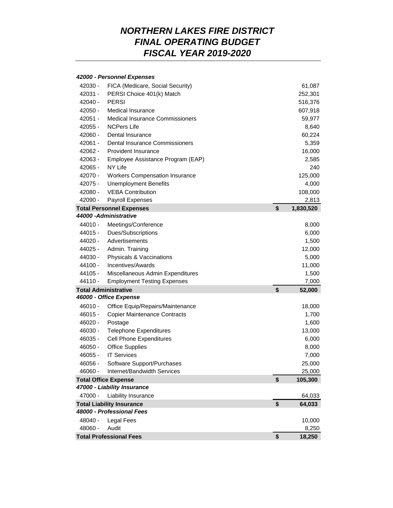#### *42000 - Personnel Expenses*

| 42030 -   | FICA (Medicare, Social Security)       | 61,087          |
|-----------|----------------------------------------|-----------------|
| 42031 -   | PERSI Choice 401(k) Match              | 252,301         |
| 42040 -   | <b>PERSI</b>                           | 516,376         |
| $42050 -$ | Medical Insurance                      | 607,918         |
| $42051 -$ | <b>Medical Insurance Commissioners</b> | 59,977          |
| $42055 -$ | <b>NCPers Life</b>                     | 8,640           |
| $42060 -$ | Dental Insurance                       | 60,224          |
| $42061 -$ | Dental Insurance Commissioners         | 5,359           |
| $42062 -$ | <b>Provident Insurance</b>             | 16,000          |
| 42063 -   | Employee Assistance Program (EAP)      | 2,585           |
| $42065 -$ | NY Life                                | 240             |
| 42070 -   | <b>Workers Compensation Insurance</b>  | 125,000         |
| 42075 -   | <b>Unemployment Benefits</b>           | 4,000           |
| 42080 -   | <b>VEBA Contribution</b>               | 108,000         |
| 42090 -   | Payroll Expenses                       | 2,813           |
|           | <b>Total Personnel Expenses</b>        | \$<br>1,830,520 |
|           | 44000 - Administrative                 |                 |
| 44010 -   | Meetings/Conference                    | 8,000           |
| $44015 -$ | Dues/Subscriptions                     | 6,000           |
| 44020 -   | Advertisements                         | 1,500           |
| 44025 -   | Admin. Training                        | 12,000          |
| 44030 -   | Physicals & Vaccinations               | 5,000           |
| 44100 -   | Incentives/Awards                      | 11,000          |
| 44105 -   | Miscellaneous Admin Expenditures       | 1,500           |
| 44110 -   | <b>Employment Testing Expenses</b>     | 7,000           |
|           | <b>Total Administrative</b>            | \$<br>52,000    |
|           | 46000 - Office Expense                 |                 |
| $46010 -$ | Office Equip/Repairs/Maintenance       | 18,000          |
| $46015 -$ | <b>Copier Maintenance Contracts</b>    | 1,700           |
| $46020 -$ | Postage                                | 1,600           |
| 46030 -   | <b>Telephone Expenditures</b>          | 13,000          |
| $46035 -$ | <b>Cell Phone Expenditures</b>         | 6,000           |
| 46050 -   | <b>Office Supplies</b>                 | 8,000           |
| 46055 -   | <b>IT Services</b>                     | 7,000           |
| 46056 -   | Software Support/Purchases             | 25,000          |
| 46060 -   | Internet/Bandwidth Services            | 25,000          |
|           | <b>Total Office Expense</b>            | \$<br>105,300   |
|           | 47000 - Liability Insurance            |                 |
| 47000 -   | Liability Insurance                    | 64,033          |
|           | <b>Total Liability Insurance</b>       | \$<br>64,033    |
|           | 48000 - Professional Fees              |                 |
| 48040 -   | Legal Fees                             | 10,000          |
| 48060 -   | Audit                                  | 8,250           |
|           | <b>Total Professional Fees</b>         | \$<br>18,250    |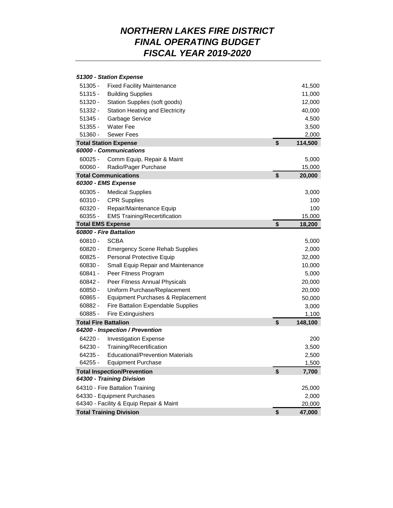#### 41,500 11,000 12,000 40,000 4,500 3,500 2,000 **Total Station Expense \$ 114,500** 60025 - Comm Equip, Repair & Maint 5,000 15,000 **Total Communications \$ 20,000** 60305 - Medical Supplies 3,000 60310 - CPR Supplies 100 60320 - Repair/Maintenance Equip 100 15,000 **Total EMS Expense \$ 18,200** 60810 - SCBA 5,000 60820 - Emergency Scene Rehab Supplies 2,000 60825 - Personal Protective Equip 32,000 60830 - Small Equip Repair and Maintenance 10,000 60841 - Peer Fitness Program 5,000 60842 - Peer Fitness Annual Physicals 20,000 60850 - Uniform Purchase/Replacement 20,000 60865 - Equipment Purchases & Replacement 50,000 60882 - Fire Battalion Expendable Supplies 3,000 3,000 60885 - Fire Extinguishers 1,100 **Total Fire Battalion \$ 148,100** 64220 - Investigation Expense 200 64230 - Training/Recertification 3,500 64235 - Educational/Prevention Materials 2,500 64255 - Equipment Purchase 1,500 **Total Inspection/Prevention \$ 7,700** 64310 - Fire Battalion Training 25,000 64330 - Equipment Purchases 2,000 64340 - Facility & Equip Repair & Maint 20,000 **Total Training Division \$ 47,000** 60355 - EMS Training/Recertification 51320 - Station Supplies (soft goods) 51332 - Station Heating and Electricity 51345 - Garbage Service 51355 - Water Fee 60060 - Radio/Pager Purchase 51305 - Fixed Facility Maintenance 51315 - Building Supplies 51360 - Sewer Fees *64200 - Inspection / Prevention 64300 - Training Division 51300 - Station Expense 60000 - Communications 60300 - EMS Expense 60800 - Fire Battalion*